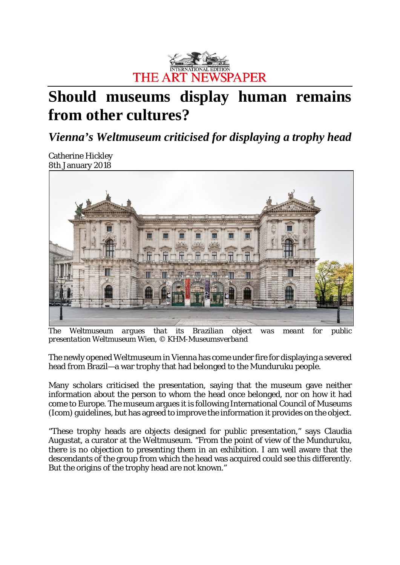

## **Should museums display human remains from other cultures?**

*Vienna's Weltmuseum criticised for displaying a trophy head*

Catherine Hickley 8th [January](https://images.graph.cool/v1/cj6c28vh912680101ozc2paxj/cjbgpw9jl02160108s4n2tt56/0x0:1600x816/960x960/297_ne_ch_human_remains_museum.jpg) 201[8](https://images.graph.cool/v1/cj6c28vh912680101ozc2paxj/cjbgpw9jl02160108s4n2tt56/0x0:1600x816/960x960/297_ne_ch_human_remains_museum.jpg)



*The Weltmuseum argues that its Brazilian object was meant for public presentation Weltmuseum Wien, © KHM-Museumsverband*

The newly opened Weltmuseum in Vienna has come under fire for displaying a severed head from Brazil—a war trophy that had belonged to the Munduruku people.

Many scholars criticised the presentation, saying that the museum gave neither information about the person to whom the head once belonged, nor on how it had come to Europe. The museum argues it is following International Council of Museums (Icom) guidelines, but has agreed to improve the information it provides on the object.

"These trophy heads are objects designed for public presentation," says Claudia Augustat, a curator at the Weltmuseum. "From the point of view of the Munduruku, there is no objection to presenting them in an exhibition. I am well aware that the descendants of the group from which the head was acquired could see this differently. But the origins of the trophy head are not known."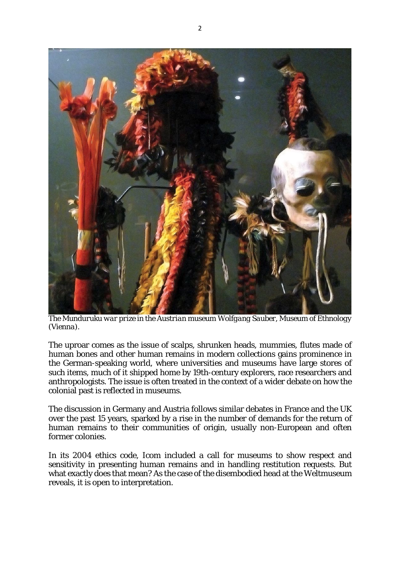

*The Munduruku war prize in the Austrian museum Wolfgang Sauber, Museum of Ethnology (Vienna).*

The uproar comes as the issue of scalps, shrunken heads, mummies, flutes made of human bones and other human remains in modern collections gains prominence in the German-speaking world, where universities and museums have large stores of such items, much of it shipped home by 19th-century explorers, race researchers and anthropologists. The issue is often treated in the context of a wider debate on how the colonial past is reflected in museums.

The discussion in Germany and Austria follows similar debates in France and the UK over the past 15 years, sparked by a rise in the number of demands for the return of human remains to their communities of origin, usually non-European and often former colonies.

In its 2004 ethics code, Icom included a call for museums to show respect and sensitivity in presenting human remains and in handling restitution requests. But what exactly does that mean? As the case of the disembodied head at the Weltmuseum reveals, it is open to interpretation.